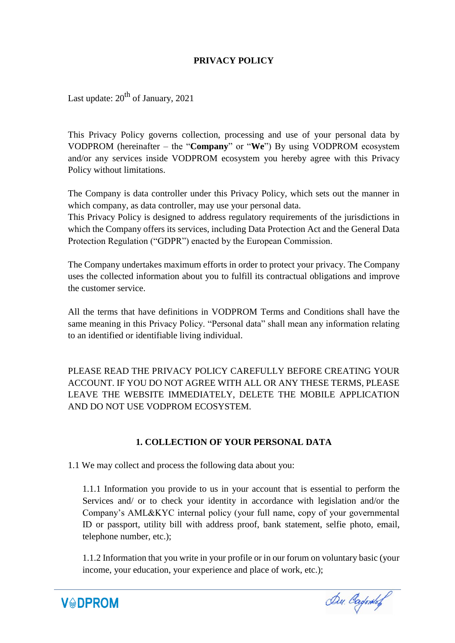## **PRIVACY POLICY**

Last update:  $20^{th}$  of January, 2021

This Privacy Policy governs collection, processing and use of your personal data by VODPROM (hereinafter – the "**Company**" or "**We**") By using VODPROM ecosystem and/or any services inside VODPROM ecosystem you hereby agree with this Privacy Policy without limitations.

The Company is data controller under this Privacy Policy, which sets out the manner in which company, as data controller, may use your personal data.

This Privacy Policy is designed to address regulatory requirements of the jurisdictions in which the Company offers its services, including Data Protection Act and the General Data Protection Regulation ("GDPR") enacted by the European Commission.

The Company undertakes maximum efforts in order to protect your privacy. The Company uses the collected information about you to fulfill its contractual obligations and improve the customer service.

All the terms that have definitions in VODPROM Terms and Conditions shall have the same meaning in this Privacy Policy. "Personal data" shall mean any information relating to an identified or identifiable living individual.

PLEASE READ THE PRIVACY POLICY CAREFULLY BEFORE CREATING YOUR ACCOUNT. IF YOU DO NOT AGREE WITH ALL OR ANY THESE TERMS, PLEASE LEAVE THE WEBSITE IMMEDIATELY, DELETE THE MOBILE APPLICATION AND DO NOT USE VODPROM ECOSYSTEM.

## **1. COLLECTION OF YOUR PERSONAL DATA**

1.1 We may collect and process the following data about you:

1.1.1 Information you provide to us in your account that is essential to perform the Services and/ or to check your identity in accordance with legislation and/or the Company's AML&KYC internal policy (your full name, copy of your governmental ID or passport, utility bill with address proof, bank statement, selfie photo, email, telephone number, etc.);

1.1.2 Information that you write in your profile or in our forum on voluntary basic (your income, your education, your experience and place of work, etc.);



Du. Cagones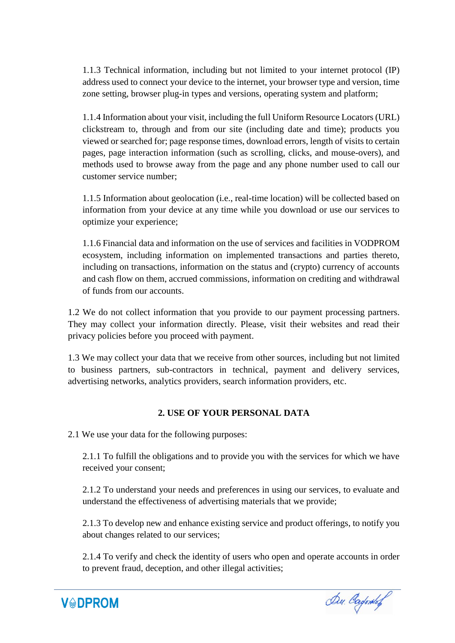1.1.3 Technical information, including but not limited to your internet protocol (IP) address used to connect your device to the internet, your browser type and version, time zone setting, browser plug-in types and versions, operating system and platform;

1.1.4 Information about your visit, including the full Uniform Resource Locators (URL) clickstream to, through and from our site (including date and time); products you viewed or searched for; page response times, download errors, length of visits to certain pages, page interaction information (such as scrolling, clicks, and mouse-overs), and methods used to browse away from the page and any phone number used to call our customer service number;

1.1.5 Information about geolocation (i.e., real-time location) will be collected based on information from your device at any time while you download or use our services to optimize your experience;

1.1.6 Financial data and information on the use of services and facilities in VODPROM ecosystem, including information on implemented transactions and parties thereto, including on transactions, information on the status and (crypto) currency of accounts and cash flow on them, accrued commissions, information on crediting and withdrawal of funds from our accounts.

1.2 We do not collect information that you provide to our payment processing partners. They may collect your information directly. Please, visit their websites and read their privacy policies before you proceed with payment.

1.3 We may collect your data that we receive from other sources, including but not limited to business partners, sub-contractors in technical, payment and delivery services, advertising networks, analytics providers, search information providers, etc.

## **2. USE OF YOUR PERSONAL DATA**

2.1 We use your data for the following purposes:

2.1.1 To fulfill the obligations and to provide you with the services for which we have received your consent;

2.1.2 To understand your needs and preferences in using our services, to evaluate and understand the effectiveness of advertising materials that we provide;

2.1.3 To develop new and enhance existing service and product offerings, to notify you about changes related to our services;

2.1.4 To verify and check the identity of users who open and operate accounts in order to prevent fraud, deception, and other illegal activities;



Du. Cadones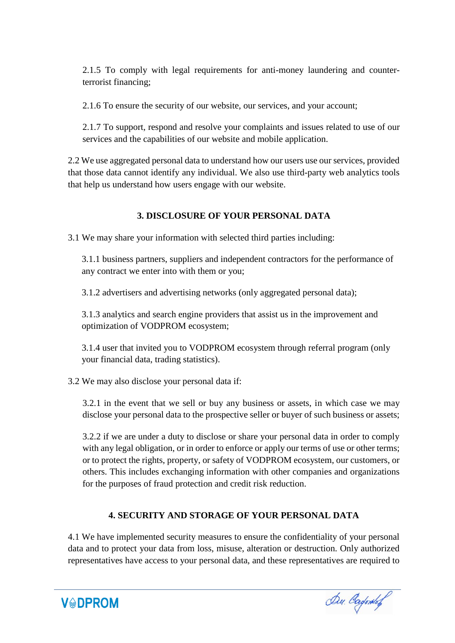2.1.5 To comply with legal requirements for anti-money laundering and counterterrorist financing;

2.1.6 To ensure the security of our website, our services, and your account;

2.1.7 To support, respond and resolve your complaints and issues related to use of our services and the capabilities of our website and mobile application.

2.2 We use aggregated personal data to understand how our users use our services, provided that those data cannot identify any individual. We also use third-party web analytics tools that help us understand how users engage with our website.

## **3. DISCLOSURE OF YOUR PERSONAL DATA**

3.1 We may share your information with selected third parties including:

3.1.1 business partners, suppliers and independent contractors for the performance of any contract we enter into with them or you;

3.1.2 advertisers and advertising networks (only aggregated personal data);

3.1.3 analytics and search engine providers that assist us in the improvement and optimization of VODPROM ecosystem;

3.1.4 user that invited you to VODPROM ecosystem through referral program (only your financial data, trading statistics).

3.2 We may also disclose your personal data if:

**V&DPROM** 

3.2.1 in the event that we sell or buy any business or assets, in which case we may disclose your personal data to the prospective seller or buyer of such business or assets;

3.2.2 if we are under a duty to disclose or share your personal data in order to comply with any legal obligation, or in order to enforce or apply our terms of use or other terms; or to protect the rights, property, or safety of VODPROM ecosystem, our customers, or others. This includes exchanging information with other companies and organizations for the purposes of fraud protection and credit risk reduction.

# **4. SECURITY AND STORAGE OF YOUR PERSONAL DATA**

4.1 We have implemented security measures to ensure the confidentiality of your personal data and to protect your data from loss, misuse, alteration or destruction. Only authorized representatives have access to your personal data, and these representatives are required to

Du. Cadontof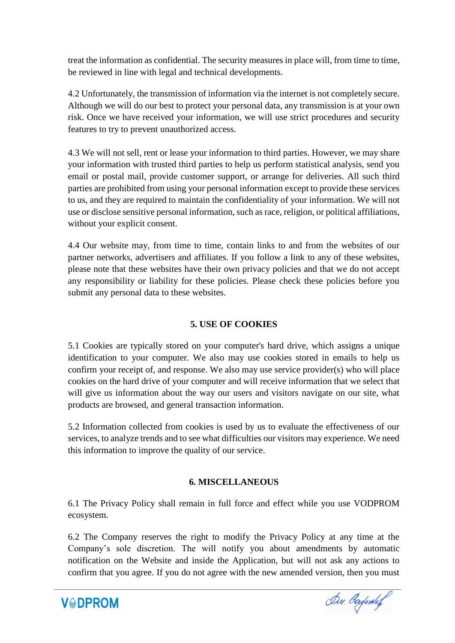treat the information as confidential. The security measures in place will, from time to time, be reviewed in line with legal and technical developments.

4.2 Unfortunately, the transmission of information via the internet is not completely secure. Although we will do our best to protect your personal data, any transmission is at your own risk. Once we have received your information, we will use strict procedures and security features to try to prevent unauthorized access.

4.3 We will not sell, rent or lease your information to third parties. However, we may share your information with trusted third parties to help us perform statistical analysis, send you email or postal mail, provide customer support, or arrange for deliveries. All such third parties are prohibited from using your personal information except to provide these services to us, and they are required to maintain the confidentiality of your information. We will not use or disclose sensitive personal information, such as race, religion, or political affiliations, without your explicit consent.

4.4 Our website may, from time to time, contain links to and from the websites of our partner networks, advertisers and affiliates. If you follow a link to any of these websites, please note that these websites have their own privacy policies and that we do not accept any responsibility or liability for these policies. Please check these policies before you submit any personal data to these websites.

## **5. USE OF COOKIES**

5.1 Cookies are typically stored on your computer's hard drive, which assigns a unique identification to your computer. We also may use cookies stored in emails to help us confirm your receipt of, and response. We also may use service provider(s) who will place cookies on the hard drive of your computer and will receive information that we select that will give us information about the way our users and visitors navigate on our site, what products are browsed, and general transaction information.

5.2 Information collected from cookies is used by us to evaluate the effectiveness of our services, to analyze trends and to see what difficulties our visitors may experience. We need this information to improve the quality of our service.

#### **6. MISCELLANEOUS**

6.1 The Privacy Policy shall remain in full force and effect while you use VODPROM ecosystem.

6.2 The Company reserves the right to modify the Privacy Policy at any time at the Company's sole discretion. The will notify you about amendments by automatic notification on the Website and inside the Application, but will not ask any actions to confirm that you agree. If you do not agree with the new amended version, then you must



Du. Cayones